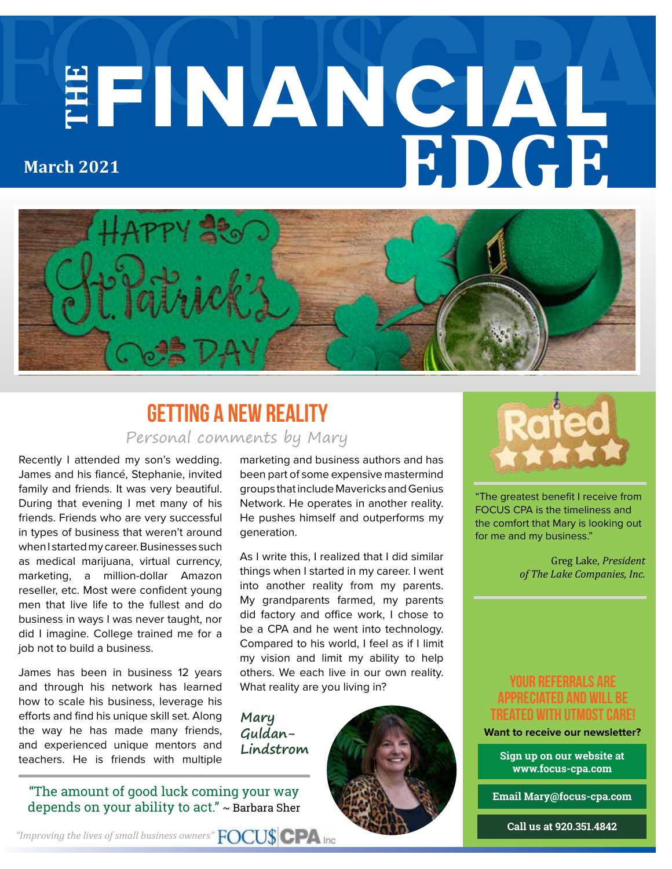# **THE** FINANCIAL **EDGE March 2021**



### Personal comments by Mary **Getting a New Reality**

Recently I attended my son's wedding. James and his fiancé, Stephanie, invited family and friends. It was very beautiful. During that evening I met many of his friends. Friends who are very successful in types of business that weren't around when I started my career. Businesses such as medical marijuana, virtual currency, marketing, a million-dollar Amazon reseller, etc. Most were confident young men that live life to the fullest and do business in ways I was never taught, nor did I imagine. College trained me for a job not to build a business.

James has been in business 12 years and through his network has learned how to scale his business, leverage his efforts and find his unique skill set. Along the way he has made many friends, and experienced unique mentors and teachers. He is friends with multiple

"The amount of good luck coming your way depends on your ability to act." ~ Barbara Sher

marketing and business authors and has been part of some expensive mastermind groups that include Mavericks and Genius Network. He operates in another reality. He pushes himself and outperforms my generation.

As I write this, I realized that I did similar things when I started in my career. I went into another reality from my parents. My grandparents farmed, my parents did factory and office work, I chose to be a CPA and he went into technology. Compared to his world, I feel as if I limit my vision and limit my ability to help others. We each live in our own reality. What reality are you living in?

**Mary Guldan-Lindstrom**





"The greatest benefit I receive from FOCUS CPA is the timeliness and the comfort that Mary is looking out for me and my business."

> Greg Lake, *President of The Lake Companies, Inc.*

#### **your referrals are appreciated and will be treated with utmost care!**

**Want to receive our newsletter?**

**Sign up on our website at www.focus-cpa.com**

**Email Mary@focus-cpa.com**

**Call us at 920.351.4842**

*"Improving the lives of small business owners"*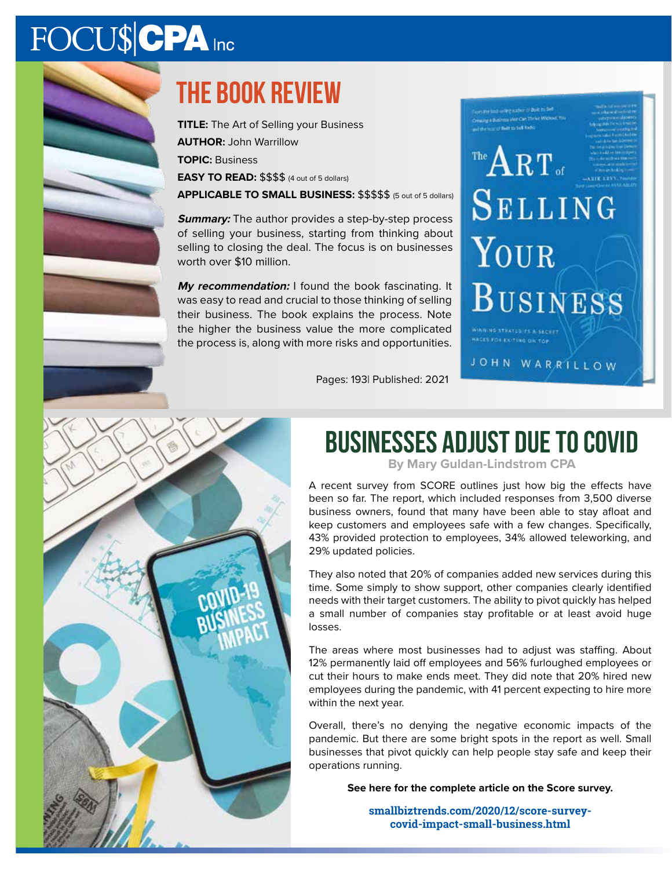## FOCU\$CPA Inc

### **The book review**

**TITLE:** The Art of Selling your Business **AUTHOR:** John Warrillow **TOPIC:** Business **EASY TO READ:** \$\$\$\$ (4 out of 5 dollars)

**APPLICABLE TO SMALL BUSINESS:** \$\$\$\$\$ (5 out of 5 dollars)

**Summary:** The author provides a step-by-step process of selling your business, starting from thinking about selling to closing the deal. The focus is on businesses worth over \$10 million.

**My recommendation:** I found the book fascinating. It was easy to read and crucial to those thinking of selling their business. The book explains the process. Note the higher the business value the more complicated the process is, along with more risks and opportunities.

**ACES FOR EXITING ON TOP** 

### The  $\mathbf{ART}_{\text{of}}$ SELLING YOUR **BUSINESS** NG STRATUGITS A SECU

JOHN WARRILLOW

Pages: 193| Published: 2021

### **Businesses Adjust Due to COVID**

**By Mary Guldan-Lindstrom CPA**

A recent survey from SCORE outlines just how big the effects have been so far. The report, which included responses from 3,500 diverse business owners, found that many have been able to stay afloat and keep customers and employees safe with a few changes. Specifically, 43% provided protection to employees, 34% allowed teleworking, and 29% updated policies.

They also noted that 20% of companies added new services during this time. Some simply to show support, other companies clearly identified needs with their target customers. The ability to pivot quickly has helped a small number of companies stay profitable or at least avoid huge losses.

The areas where most businesses had to adjust was staffing. About 12% permanently laid off employees and 56% furloughed employees or cut their hours to make ends meet. They did note that 20% hired new employees during the pandemic, with 41 percent expecting to hire more within the next year.

Overall, there's no denying the negative economic impacts of the pandemic. But there are some bright spots in the report as well. Small businesses that pivot quickly can help people stay safe and keep their operations running.

**See here for the complete article on the Score survey.**

**smallbiztrends.com/2020/12/score-surveycovid-impact-small-business.html**

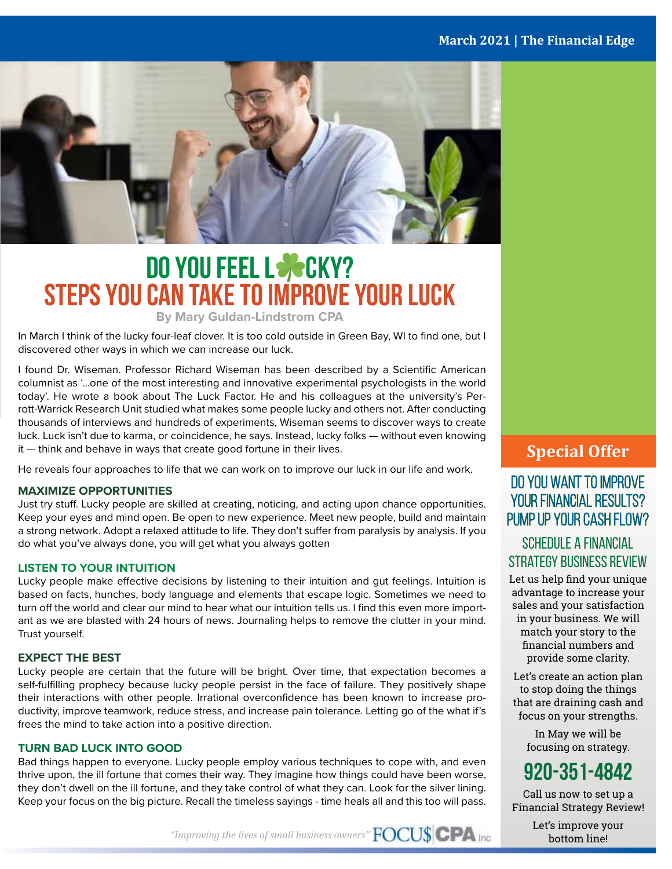

### **Do You Feel L**☘**ckY? Steps You Can Take To Improve Your Luck**

**By Mary Guldan-Lindstrom CPA**

In March I think of the lucky four-leaf clover. It is too cold outside in Green Bay, WI to find one, but I discovered other ways in which we can increase our luck.

I found Dr. Wiseman. Professor Richard Wiseman has been described by a Scientific American columnist as '…one of the most interesting and innovative experimental psychologists in the world today'. He wrote a book about The Luck Factor. He and his colleagues at the university's Perrott-Warrick Research Unit studied what makes some people lucky and others not. After conducting thousands of interviews and hundreds of experiments, Wiseman seems to discover ways to create luck. Luck isn't due to karma, or coincidence, he says. Instead, lucky folks — without even knowing it — think and behave in ways that create good fortune in their lives.

He reveals four approaches to life that we can work on to improve our luck in our life and work.

#### **MAXIMIZE OPPORTUNITIES**

Just try stuff. Lucky people are skilled at creating, noticing, and acting upon chance opportunities. Keep your eyes and mind open. Be open to new experience. Meet new people, build and maintain a strong network. Adopt a relaxed attitude to life. They don't suffer from paralysis by analysis. If you do what you've always done, you will get what you always gotten

#### **LISTEN TO YOUR INTUITION**

Lucky people make effective decisions by listening to their intuition and gut feelings. Intuition is based on facts, hunches, body language and elements that escape logic. Sometimes we need to turn off the world and clear our mind to hear what our intuition tells us. I find this even more important as we are blasted with 24 hours of news. Journaling helps to remove the clutter in your mind. Trust yourself.

#### **EXPECT THE BEST**

Lucky people are certain that the future will be bright. Over time, that expectation becomes a self-fulfilling prophecy because lucky people persist in the face of failure. They positively shape their interactions with other people. Irrational overconfidence has been known to increase productivity, improve teamwork, reduce stress, and increase pain tolerance. Letting go of the what if's frees the mind to take action into a positive direction.

#### **TURN BAD LUCK INTO GOOD**

Bad things happen to everyone. Lucky people employ various techniques to cope with, and even thrive upon, the ill fortune that comes their way. They imagine how things could have been worse, they don't dwell on the ill fortune, and they take control of what they can. Look for the silver lining. Keep your focus on the big picture. Recall the timeless sayings - time heals all and this too will pass.

#### **Special Offer**

#### Do you want to improve YOUR FINANCIAL RESULTS? PUMP UP YOUR CASH FLOW?

#### Schedule a Financial Strategy Business RevieW

Let us help find your unique advantage to increase your sales and your satisfaction in your business. We will match your story to the financial numbers and provide some clarity.

Let's create an action plan to stop doing the things that are draining cash and focus on your strengths.

> In May we will be focusing on strategy.

### **920-351-4842**

Call us now to set up a Financial Strategy Review!

> Let's improve your bottom line!

*"Improving the lives of small business owners"*